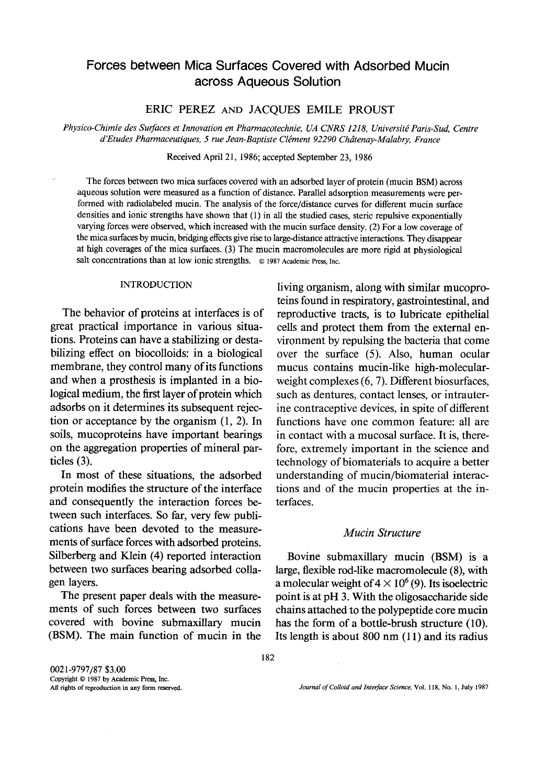# Forces between Mica Surfaces Covered with Adsorbed Mucin across Aqueous Solution

ERIC PEREZ AND JACQUES EMILE PROUST

*Physico-Chimie des Surfaces et Innovation en Pharmacotechnie, UA CNRS 1218, Universit£ Paris-Sud, Centre d'Etudes Pharmaceutiques, 5 rue Jean-Baptiste Clement 92290 Chdtenay-Malabry, France* 

Received April 21, 1986; accepted September 23, 1986

The forces between two mica surfaces covered with an adsorbed layer of protein (mucin BSM) across aqueous solution were measured as a function of distance. Parallel adsorption measurements were performed with radiolabeled mucin. The analysis of the force/distance curves for different mucin surface densities and ionic strengths have shown that (1) in all the studied cases, steric repulsive exponentially varying forces were observed, which increased with the mucin surface density. (2) For a low coverage of the mica surfaces by mucin, bridging effects give rise to large-distance attractive interactions. They disappear at high coverages of the mica surfaces. (3) The mucin macromolecules are more rigid at physiological salt concentrations than at low ionic strengths. © 1987 Academic Press, Inc.

#### INTRODUCTION

The behavior of proteins at interfaces is of great practical importance in various situations. Proteins can have a stabilizing or destabilizing effect on biocolloids: in a biological membrane, they control many of its functions and when a prosthesis is implanted in a biological medium, the first layer of protein which adsorbs on it determines its subsequent rejection or acceptance by the organism (1, 2). In soils, mucoproteins have important bearings on the aggregation properties of mineral particles  $(3)$ .

In most of these situations, the adsorbed protein modifies the structure of the interface and consequently the interaction forces between such interfaces. So far, very few publications have been devoted to the measurements of surface forces with adsorbed proteins. Silberberg and Klein (4) reported interaction between two surfaces bearing adsorbed collagen layers.

The present paper deals with the measurements of such forces between two surfaces covered with bovine submaxillary mucin (BSM). The main function of mucin in the living organism, along with similar mucoproteins found in respiratory, gastrointestinal, and reproductive tracts, is to lubricate epithelial cells and protect them from the external environment by repulsing the bacteria that come over the surface (5). Also, human ocular mucus contains mucin-like high-molecularweight complexes (6, 7). Different biosurfaces, such as dentures, contact lenses, or intrauterine contraceptive devices, in spite of different functions have one common feature: all are in contact with a mucosal surface. It is, therefore, extremely important in the science and technology of biomaterials to acquire a better understanding of mucin/biomaterial interactions and of the mucin properties at the interfaces.

#### *Mucin Structure*

Bovine submaxillary mucin (BSM) is a large, flexible rod-like macromolecule (8), with a molecular weight of  $4 \times 10^{6}$  (9). Its isoelectric point is at pH 3. With the oligosaccharide side chains attached to the polypeptide core mucin has the form of a bottle-brush structure (10). Its length is about 800 nm (11) and its radius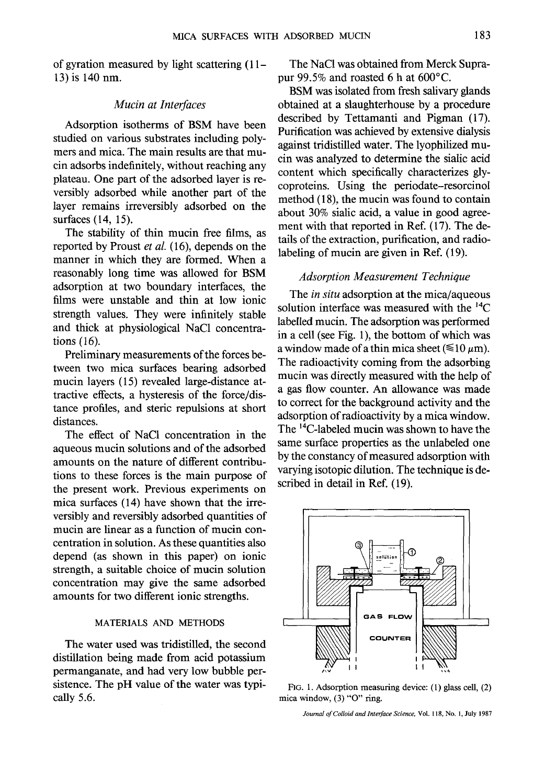of gyration measured by light scattering (11- 13) is 140 nm.

### *Mucin at Interfaces*

Adsorption isotherms of BSM have been studied on various substrates including polymers and mica. The main results are that mucin adsorbs indefinitely, without reaching any plateau. One part of the adsorbed layer is reversibly adsorbed while another part of the layer remains irreversibly adsorbed on the surfaces (14, 15).

The stability of thin mucin free films, as reported by Proust *et al.* (16), depends on the manner in which they are formed. When a reasonably long time was allowed for BSM adsorption at two boundary interfaces, the films were unstable and thin at low ionic strength values. They were infinitely stable and thick at physiological NaC1 concentrations (16).

Preliminary measurements of the forces between two mica surfaces bearing adsorbed mucin layers (15) revealed large-distance attractive effects, a hysteresis of the force/distance profiles, and steric repulsions at short distances.

The effect of NaC1 concentration in the aqueous mucin solutions and of the adsorbed amounts on the nature of different contributions to these forces is the main purpose of the present work. Previous experiments on mica surfaces (14) have shown that the irreversibly and reversibly adsorbed quantities of mucin are linear as a function of mucin concentration in solution. As these quantities also depend (as shown in this paper) on ionic strength, a suitable choice of mucin solution concentration may give the same adsorbed amounts for two different ionic strengths.

### MATERIALS AND METHODS

The water used was tridistilled, the second distillation being made from acid potassium permanganate, and had very low bubble persistence. The pH value of the water was typically 5.6.

The NaC1 was obtained from Merck Suprapur 99.5% and roasted 6 h at 600°C.

BSM was isolated from fresh salivary glands obtained at a slaughterhouse by a procedure described by Tettamanti and Pigman (17). Purification was achieved by extensive dialysis against tridistilled water. The lyophilized mucin was analyzed to determine the sialic acid content which specifically characterizes glycoproteins. Using the periodate-resorcinol method (18), the mucin was found to contain about 30% sialic acid, a value in good agreement with that reported in Ref. (17). The details of the extraction, purification, and radiolabeling of mucin are given in Ref. (19).

### *Adsorption Measurement Technique*

The *in situ* adsorption at the mica/aqueous solution interface was measured with the  $^{14}C$ labelled mucin. The adsorption was performed in a cell (see Fig. 1), the bottom of which was a window made of a thin mica sheet ( $\leq 10~\mu$ m). The radioactivity coming from the adsorbing mucin was directly measured with the help of a gas flow counter. An allowance was made to correct for the background activity and the adsorption of radioactivity by a mica window. The 14C-labeled mucin was shown to have the same surface properties as the unlabeled one by the constancy of measured adsorption with varying isotopic dilution. The technique is described in detail in Ref. (19).



FIG. 1. Adsorption measuring device: (1) glass cell, (2) mica window, (3) "O" ring.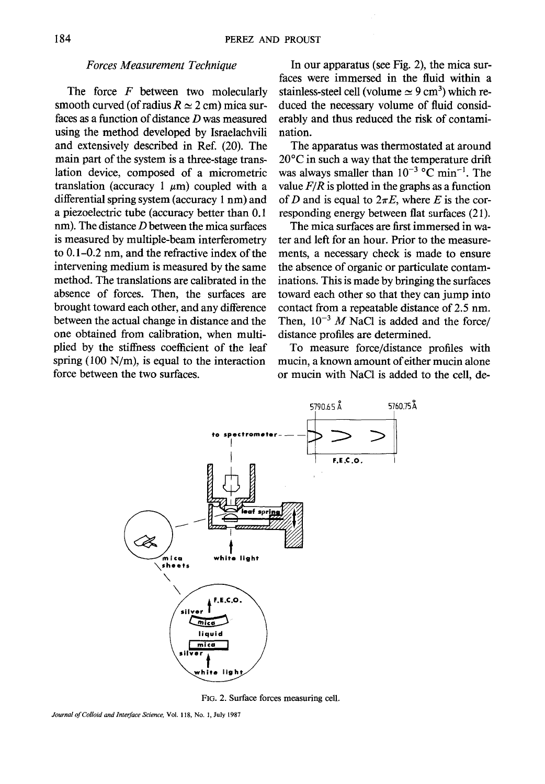### *Forces Measurement Technique*

The force  $F$  between two molecularly smooth curved (of radius  $R \approx 2$  cm) mica surfaces as a function of distance D was measured using the method developed by Israelachvili and extensively described in Ref. (20). The main part of the system is a three-stage translation device, composed of a micrometric translation (accuracy 1  $\mu$ m) coupled with a differential spring system (accuracy 1 nm) and a piezoelectric tube (accuracy better than 0.1 nm). The distance *D* between the mica surfaces is measured by multiple-beam interferometry to 0.1-0.2 nm, and the refractive index of the intervening medium is measured by the same method. The translations are calibrated in the absence of forces. Then, the surfaces are brought toward each other, and any difference between the actual change in distance and the one obtained from calibration, when multiplied by the stiffness coefficient of the leaf spring (100 *N/m),* is equal to the interaction force between the two surfaces.

In our apparatus (see Fig. 2), the mica surfaces were immersed in the fluid within a stainless-steel cell (volume  $\simeq$  9 cm<sup>3</sup>) which reduced the necessary volume of fluid considerably and thus reduced the risk of contamination.

The apparatus was thermostated at around 20°C in such a way that the temperature drift was always smaller than  $10^{-3}$  °C min<sup>-1</sup>. The value  $F/R$  is plotted in the graphs as a function of D and is equal to  $2\pi E$ , where E is the corresponding energy between fiat surfaces (21).

The mica surfaces are first immersed in water and left for an hour. Prior to the measurements, a necessary check is made to ensure the absence of organic or particulate contaminations. This is made by bringing the surfaces toward each other so that they can jump into contact from a repeatable distance of 2.5 nm. Then,  $10^{-3}$  M NaCl is added and the force/ distance profiles are determined.

To measure force/distance profiles with mucin, a known amount of either mucin alone or mucin with NaC1 is added to the cell, de-



FIG. 2. Surface forces measuring cell,

*Journal of Colloid and Interface Science,* Vol. 118, No. 1, July 1987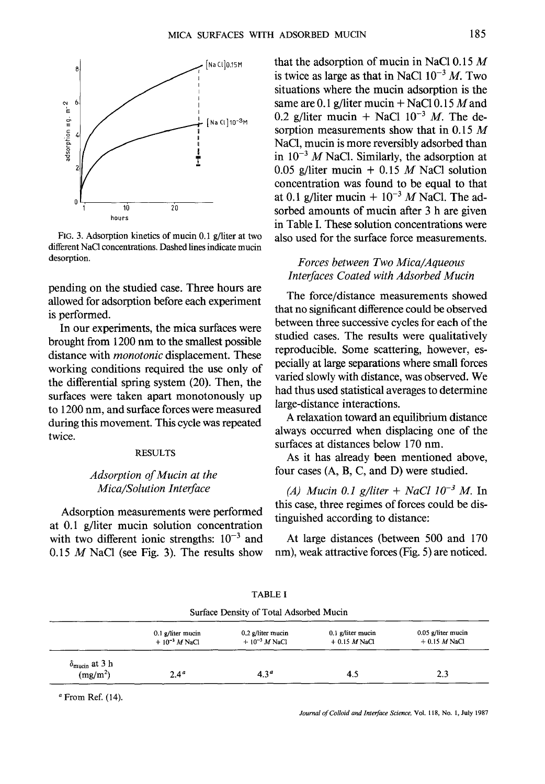

FIG. 3. Adsorption kinetics of mucin 0.1 g/liter at two different NaC1 concentrations. Dashed lines indicate mucin desorption.

pending on the studied case. Three hours are allowed for adsorption before each experiment is performed.

In our experiments, the mica surfaces were brought from 1200 nm to the smallest possible distance with *monotonic* displacement. These working conditions required the use only of the differential spring system (20). Then, the surfaces were taken apart monotonously up to 1200 nm, and surface forces were measured during this movement. This cycle was repeated twice.

### **RESULTS**

# *Adsorption of Mucin at the Mica~Solution Interface*

Adsorption measurements were performed at 0.1 g/liter mucin solution concentration with two different ionic strengths:  $10^{-3}$  and 0.15  $M$  NaCl (see Fig. 3). The results show

that the adsorption of mucin in NaCl  $0.15 M$ is twice as large as that in NaCl  $10^{-3}$  M. Two situations where the mucin adsorption is the same are 0.1 g/liter mucin  $+$  NaCl 0.15 M and 0.2 g/liter mucin + NaCl  $10^{-3}$  M. The desorption measurements show that in 0.15  $M$ NaC1, mucin is more reversibly adsorbed than in  $10^{-3}$  M NaCl. Similarly, the adsorption at 0.05 g/liter mucin + 0.15 M NaCl solution concentration was found to be equal to that at 0.1 g/liter mucin +  $10^{-3}$  M NaCl. The adsorbed amounts of mucin after 3 h are given in Table I. These solution concentrations were also used for the surface force measurements.

### *Forces between Two Mica~Aqueous Interfaces Coated with Adsorbed Mucin*

The force/distance measurements showed that no significant difference could be observed between three successive cycles for each of the studied cases. The results were qualitatively reproducible. Some scattering, however, especially at large separations where small forces varied slowly with distance, was observed. We had thus used statistical averages to determine large-distance interactions.

A relaxation toward an equilibrium distance always occurred when displacing one of the surfaces at distances below 170 nm.

As it has already been mentioned above, four cases (A, B, C, and D) were studied.

*(A) Mucin 0.1 g/liter + NaCl 10<sup>-3</sup> M.* In this case, three regimes of forces could be distinguished according to distance:

At large distances (between 500 and 170 nm), weak attractive forces (Fig. 5) are noticed.

| Surface Density of Total Adsorbed Mucin                |                                          |                                          |                                       |                                      |  |  |  |
|--------------------------------------------------------|------------------------------------------|------------------------------------------|---------------------------------------|--------------------------------------|--|--|--|
|                                                        | $0.1$ g/liter mucin<br>$+10^{-3}$ M NaCl | $0.2$ g/liter mucin<br>$+10^{-3}$ M NaCl | $0.1$ g/liter mucin<br>$+0.15$ M NaCl | 0.05 g/liter mucin<br>$+0.15$ M NaCl |  |  |  |
| $\delta_{\text{mucin}}$ at 3 h<br>(mg/m <sup>2</sup> ) | 2.4 <sup>a</sup>                         | 4.3 <sup>a</sup>                         | 4.3                                   | 2.3                                  |  |  |  |

TABLE I

 $a$  From Ref. (14).

*Journal of Colloid and Interface Science,* Vol. 118, No. 1, July 1987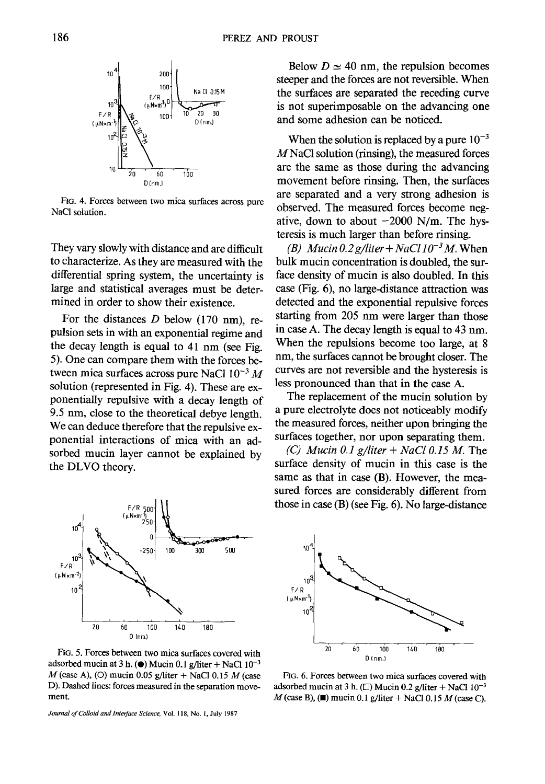

FIG. 4. Forces between two mica surfaces across pure NaCI solution.

They vary slowly with distance and are difficult to characterize. As they are measured with the differential spring system, the uncertainty is large and statistical averages must be determined in order to show their existence.

For the distances  $D$  below (170 nm), repulsion sets in with an exponential regime and the decay length is equal to 41 nm (see Fig. 5). One can compare them with the forces between mica surfaces across pure NaCl  $10^{-3}$  M solution (represented in Fig. 4). These are exponentially repulsive with a decay length of 9.5 nm, close to the theoretical debye length. We can deduce therefore that the repulsive exponential interactions of mica with an adsorbed mucin layer cannot be explained by the DLVO theory.



FIG. 5. Forces between two mica surfaces covered with adsorbed mucin at 3 h. ( $\bullet$ ) Mucin 0.1 g/liter + NaCl 10<sup>-3</sup>  $M$  (case A), (O) mucin 0.05 g/liter + NaCl 0.15  $M$  (case D). Dashed lines: forces measured in the separation movement.

*Journal of Colloid and Interface Science,* Vol. 118, No. 1, July 1987

Below  $D \simeq 40$  nm, the repulsion becomes steeper and the forces are not reversible. When the surfaces are separated the receding curve is not superimposable on the advancing one and some adhesion can be noticed.

When the solution is replaced by a pure  $10^{-3}$ MNaC1 solution (rinsing), the measured forces are the same as those during the advancing movement before rinsing. Then, the surfaces are separated and a very strong adhesion is observed. The measured forces become negative, down to about  $-2000$  N/m. The hysteresis is much larger than before rinsing.

*(B)* Mucin 0.2 g/liter + NaCl  $10^{-3}$  M. When bulk mucin concentration is doubled, the surface density of mucin is also doubled. In this case (Fig. 6), no large-distance attraction was detected and the exponential repulsive forces starting from 205 nm were larger than those in case A. The decay length is equal to 43 nm. When the repulsions become too large, at 8 nm, the surfaces cannot be brought closer. The curves are not reversible and the hysteresis is less pronounced than that in the case A.

The replacement of the mucin solution by a pure electrolyte does not noticeably modify the measured forces, neither upon bringing the surfaces together, nor upon separating them.

*(C) Mucin 0.1 g/liter + NaCI 0.15 M.* The surface density of mucin in this case is the same as that in case (B). However, the measured forces are considerably different from those in case (B) (see Fig. 6). No large-distance



FIG. 6. Forces between two mica surfaces covered with adsorbed mucin at 3 h. ( $\Box$ ) Mucin 0.2 g/liter + NaCl 10<sup>-3</sup>  $M$ (case B), ( $\blacksquare$ ) mucin 0.1 g/liter + NaCl 0.15  $M$  (case C).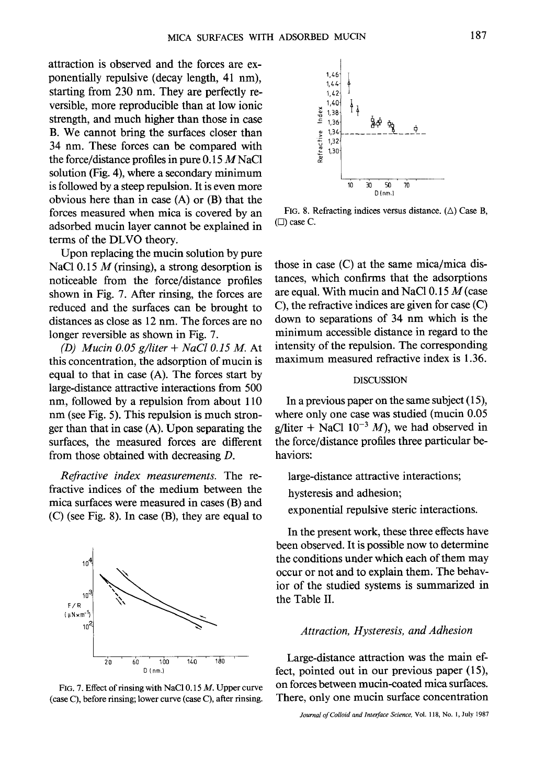attraction is observed and the forces are exponentially repulsive (decay length, 41 nm), starting from 230 nm. They are perfectly reversible, more reproducible than at low ionic strength, and much higher than those in case B. We cannot bring the surfaces closer than 34 nm. These forces can be compared with the force/distance profiles in pure  $0.15 M<sub>N</sub>$ aCl solution (Fig. 4), where a secondary minimum is followed by a steep repulsion. It is even more obvious here than in case (A) or (B) that the forces measured when mica is covered by an adsorbed mucin layer cannot be explained in terms of the DLVO theory.

Upon replacing the mucin solution by pure NaCl 0.15  $M$  (rinsing), a strong desorption is noticeable from the force/distance profiles shown in Fig. 7. After rinsing, the forces are reduced and the surfaces can be brought to distances as close as 12 nm. The forces are no longer reversible as shown in Fig. 7.

*(1)) Mucin 0.05 g/liter + NaCI 0.15 M.* At this concentration, the adsorption of mucin is equal to that in case (A). The forces start by large-distance attractive interactions from 500 nm, followed by a repulsion from about 110 nm (see Fig. 5). This repulsion is much stronger than that in case (A). Upon separating the surfaces, the measured forces are different from those obtained with decreasing D.

*Refractive index measurements.* The refractive indices of the medium between the mica surfaces were measured in cases (B) and (C) (see Fig. 8). In case (B), they are equal to



FIG. 7. Effect of rinsing with NaCl 0.15 M. Upper curve (case C), before rinsing; lower curve (case C), after rinsing.



FIG. 8. Refracting indices versus distance.  $(\triangle)$  Case B,  $(\Box)$  case C.

those in case (C) at the same mica/mica distances, which confirms that the adsorptions are equal. With mucin and NaCl  $0.15 M$  (case C), the refractive indices are given for case (C) down to separations of 34 nm which is the minimum accessible distance in regard to the intensity of the repulsion. The corresponding maximum measured refractive index is 1.36.

### DISCUSSION

In a previous paper on the same subject (15), where only one case was studied (mucin 0.05 g/liter + NaCl  $10^{-3}$  M), we had observed in the force/distance profiles three particular behaviors:

large-distance attractive interactions;

hysteresis and adhesion;

exponential repulsive steric interactions.

In the present work, these three effects have been observed. It is possible now to determine the conditions under which each of them may occur or not and to explain them. The behavior of the studied systems is summarized in the Table II.

### *Attraction, Hysteresis, and Adhesion*

Large-distance attraction was the main effect, pointed out in our previous paper (15), on forces between mucin-coated mica surfaces. There, only one mucin surface concentration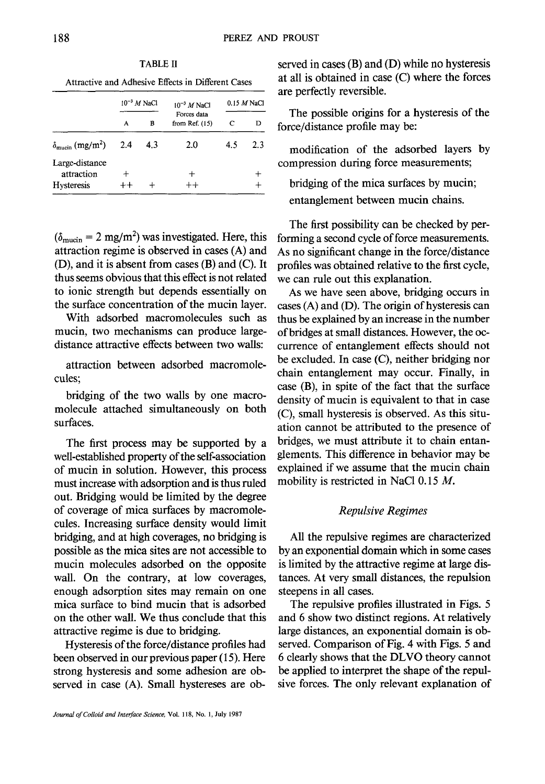TABLE II

Attractive and Adhesive Effects in Different Cases

|                                                   | $10^{-3}$ M NaCl |     | $10^{-3}$ M NaCl                | $0.15$ M NaCl |     |
|---------------------------------------------------|------------------|-----|---------------------------------|---------------|-----|
|                                                   | А                | в   | Forces data<br>from Ref. $(15)$ | С             | D   |
| $\delta_{\text{mucin}}$ (mg/m <sup>2</sup> )      | 2.4              | 4.3 | 2.0                             | 4.5           | 2.3 |
| Large-distance<br>attraction<br><b>Hysteresis</b> | ┿                |     | $+ +$                           |               |     |

 $(\delta_{\text{mucin}} = 2 \text{ mg/m}^2)$  was investigated. Here, this attraction regime is observed in cases (A) and (D), and it is absent from cases (B) and (C). It thus seems obvious that this effect is not related to ionic strength but depends essentially on the surface concentration of the mucin layer.

With adsorbed macromolecules such as mucin, two mechanisms can produce largedistance attractive effects between two walls:

attraction between adsorbed macromolecules;

bridging of the two walls by one macromolecule attached simultaneously on both surfaces.

The first process may be supported by a well-established property of the self-association of mucin in solution. However, this process must increase with adsorption and is thus ruled out. Bridging would be limited by the degree of coverage of mica surfaces by macromolecules. Increasing surface density would limit bridging, and at high coverages, no bridging is possible as the mica sites are not accessible to mucin molecules adsorbed on the opposite wall. On the contrary, at low coverages, enough adsorption sites may remain on one mica surface to bind mucin that is adsorbed on the other wall. We thus conclude that this attractive regime is due to bridging.

Hysteresis of the force/distance profiles had been observed in our previous paper (15). Here strong hysteresis and some adhesion are observed in case (A). Small hystereses are observed in cases (B) and (D) while no hysteresis at all is obtained in case (C) where the forces are perfectly reversible.

The possible origins for a hysteresis of the force/distance profile may be:

modification of the adsorbed layers by compression during force measurements;

bridging of the mica surfaces by mucin; entanglement between mucin chains.

The first possibility can be checked by performing a second cycle of force measurements. As no significant change in the force/distance profiles was obtained relative to the first cycle, we can rule out this explanation.

As we have seen above, bridging occurs in cases (A) and (D). The origin of hysteresis can thus be explained by an increase in the number of bridges at small distances. However, the occurrence of entanglement effects should not be excluded. In case (C), neither bridging nor chain entanglement may occur. Finally, in case (B), in spite of the fact that the surface density of mucin is equivalent to that in case (C), small hysteresis is observed. As this situation cannot be attributed to the presence of bridges, we must attribute it to chain entanglements. This difference in behavior may be explained if we assume that the mucin chain mobility is restricted in NaCl 0.15 M.

### *Repulsive Regimes*

All the repulsive regimes are characterized by an exponential domain which in some cases is limited by the attractive regime at large distances. At very small distances, the repulsion steepens in all cases.

The repulsive profiles illustrated in Figs. 5 and 6 show two distinct regions. At relatively large distances, an exponential domain is observed. Comparison of Fig. 4 with Figs. 5 and 6 clearly shows that the DLVO theory cannot be applied to interpret the shape of the repulsive forces. The only relevant explanation of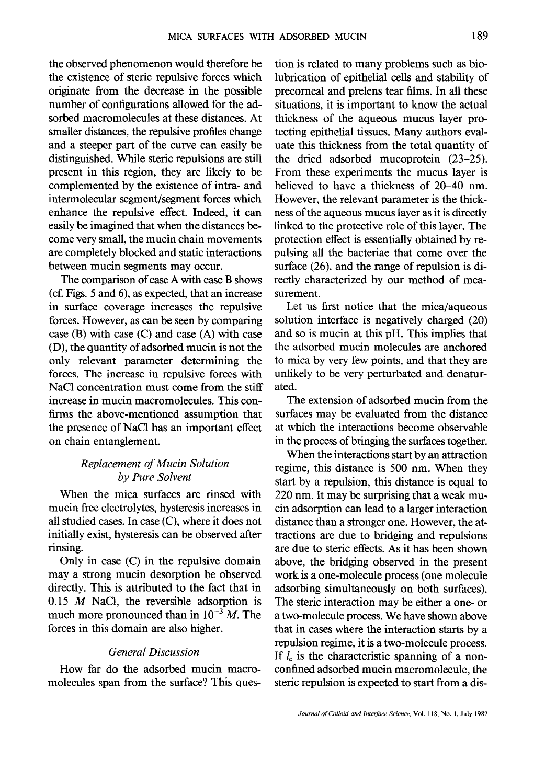the observed phenomenon would therefore be the existence of steric repulsive forces which originate from the decrease in the possible number of configurations allowed for the adsorbed macromolecules at these distances. At smaller distances, the repulsive profiles change and a steeper part of the curve can easily be distinguished. While steric repulsions are still present in this region, they are likely to be complemented by the existence of intra- and intermolecular segment/segment forces which enhance the repulsive effect. Indeed, it can easily be imagined that when the distances become very small, the mucin chain movements are completely blocked and static interactions between mucin segments may occur.

The comparison of case A with case B shows (cf. Figs. 5 and 6), as expected, that an increase in surface coverage increases the repulsive forces. However, as can be seen by comparing case (B) with case (C) and case (A) with case (D), the quantity of adsorbed mucin is not the only relevant parameter determining the forces. The increase in repulsive forces with NaC1 concentration must come from the stiff increase in mucin macromolecules. This confirms the above-mentioned assumption that the presence of NaC1 has an important effect on chain entanglement.

# *Replacement of Mucin Solution by Pure Solvent*

When the mica surfaces are rinsed with mucin free electrolytes, hysteresis increases in all studied cases. In case (C), where it does not initially exist, hysteresis can be observed after rinsing.

Only in case (C) in the repulsive domain may a strong mucin desorption be observed directly. This is attributed to the fact that in 0.15  $M$  NaCl, the reversible adsorption is much more pronounced than in  $10^{-3}$  M. The forces in this domain are also higher.

### *General Discussion*

How far do the adsorbed mucin macromolecules span from the surface? This question is related to many problems such as biolubrication of epithelial cells and stability of precorneal and prelens tear films. In all these situations, it is important to know the actual thickness of the aqueous mucus layer protecting epithelial tissues. Many authors evaluate this thickness from the total quantity of the dried adsorbed mucoprotein (23-25). From these experiments the mucus layer is believed to have a thickness of 20-40 nm. However, the relevant parameter is the thickness of the aqueous mucus layer as it is directly linked to the protective role of this layer. The protection effect is essentially obtained by repulsing all the bacteriae that come over the surface (26), and the range of repulsion is directly characterized by our method of measurement.

Let us first notice that the mica/aqueous solution interface is negatively charged (20) and so is mucin at this pH. This implies that the adsorbed mucin molecules are anchored to mica by very few points, and that they are unlikely to be very perturbated and denaturated.

The extension of adsorbed mucin from the surfaces may be evaluated from the distance at which the interactions become observable in the process of bringing the surfaces together.

When the interactions start by an attraction regime, this distance is 500 nm. When they start by a repulsion, this distance is equal to 220 nm. It may be surprising that a weak mucin adsorption can lead to a larger interaction distance than a stronger one. However, the attractions are due to bridging and repulsions are due to steric effects. As it has been shown above, the bridging observed in the present work is a one-molecule process (one molecule adsorbing simultaneously on both surfaces). The steric interaction may be either a one- or a two-molecule process. We have shown above that in cases where the interaction starts by a repulsion regime, it is a two-molecule process. If  $l_c$  is the characteristic spanning of a nonconfined adsorbed mucin macromolecule, the steric repulsion is expected to start from a dis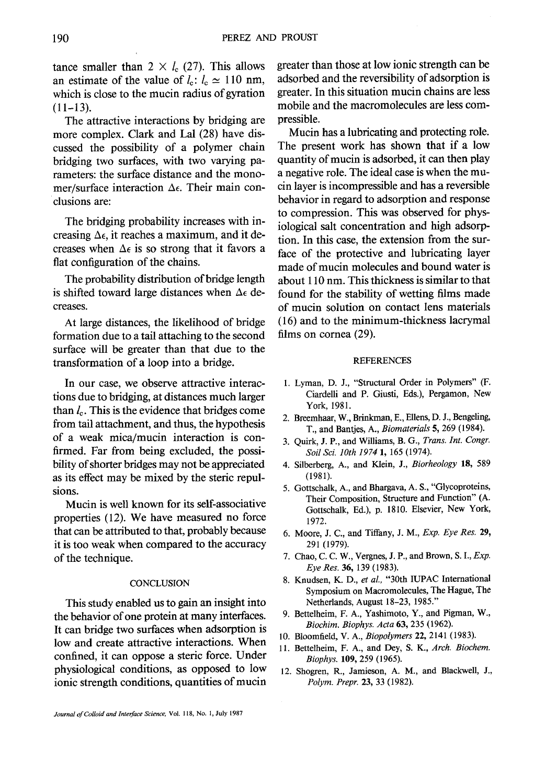tance smaller than  $2 \times l_c$  (27). This allows an estimate of the value of  $l_c$ :  $l_c \approx 110$  nm, which is close to the mucin radius of gyration  $(11-13)$ .

The attractive interactions by bridging are more complex. Clark and Lal (28) have discussed the possibility of a polymer chain bridging two surfaces, with two varying parameters: the surface distance and the monomer/surface interaction  $\Delta \epsilon$ . Their main conclusions are:

The bridging probability increases with increasing  $\Delta \epsilon$ , it reaches a maximum, and it decreases when  $\Delta \epsilon$  is so strong that it favors a fiat configuration of the chains.

The probability distribution of bridge length is shifted toward large distances when  $\Delta \epsilon$  decreases.

At large distances, the likelihood of bridge formation due to a tail attaching to the second surface will be greater than that due to the transformation of a loop into a bridge.

In our case, we observe attractive interactions due to bridging, at distances much larger than  $l_c$ . This is the evidence that bridges come from tail attachment, and thus, the hypothesis of a weak mica/mucin interaction is confirmed. Far from being excluded, the possibility of shorter bridges may not be appreciated as its effect may be mixed by the steric repulsions.

Mucin is well known for its self-associative properties (12). We have measured no force that can be attributed to that, probably because it is too weak when compared to the accuracy of the technique.

#### **CONCLUSION**

This study enabled us to gain an insight into the behavior of one protein at many interfaces. It can bridge two surfaces when adsorption is low and create attractive interactions. When confined, it can oppose a steric force. Under physiological conditions, as opposed to low ionic strength conditions, quantities of mucin greater than those at low ionic strength can be adsorbed and the reversibility of adsorption is greater. In this situation mucin chains are less mobile and the macromolecules are less compressible.

Mucin has a lubricating and protecting role. The present work has shown that if a low quantity of mucin is adsorbed, it can then play a negative role. The ideal case is when the mucin layer is incompressible and has a reversible behavior in regard to adsorption and response to compression. This was observed for physiological salt concentration and high adsorption. In this case, the extension from the surface of the protective and lubricating layer made of mucin molecules and bound water is about 110 nm. This thickness is similar to that found for the stability of wetting films made of mucin solution on contact lens materials (16) and to the minimum-thickness lacrymal films on cornea (29).

#### REFERENCES

- 1. Lyman, D. J., "Structural Order in Polymers" (F. Ciardelli and P. Giusti, Eds.), Pergamon, New York, 1981.
- 2. Breemhaar, W., Brinkman, E., Ellens, D. J., Bengeling, T., and Bantjes, A., *Biomaterials* 5, 269 (1984).
- 3. Quirk, J. P., and Williams, B. G., *Trans, lnt. Congr. Soil Sci. lOth 1974* 1, 165 (1974).
- 4. Silberberg, A., and Klein, J., *Biorheology* 18, 589 (1981).
- 5. Gottschalk, A., and Bhargava, A. S., "Glycoproteins, Their Composition, Structure and Function" (A. Gottschalk, Ed.), p. 1810. Elsevier, New York, 1972.
- 6. Moore, J. C., and Tiffany, J. M., *Exp. Eye Res.* 29, 291 (1979).
- 7. Chao, C. C. W., Vergnes, J. P., and Brown, S. I., *Exp. Eye Res.* 36, 139 (1983).
- 8. Knudsen, K. D., *et al.,* "30th IUPAC International Symposium on Macromolecules, The Hague, The Netherlands, August 18-23, 1985."
- 9. Bettelheim, F. A., Yashimoto, Y., and Pigman, W., *Biochim. Biophys. Acta* 63, 235 (1962).
- 10. Bloomfield, V. A., *Biopolymers* 22, 2141 (1983).
- 11. Bettelheim, F. A., and Dey, S. K., *Arch. Biochem. Biophys.* 109, 259 (1965).
- 12. Shogren, R., Jamieson, A. M., and Blackwell, J., *Polym. Prepr.* 23, 33 (1982).